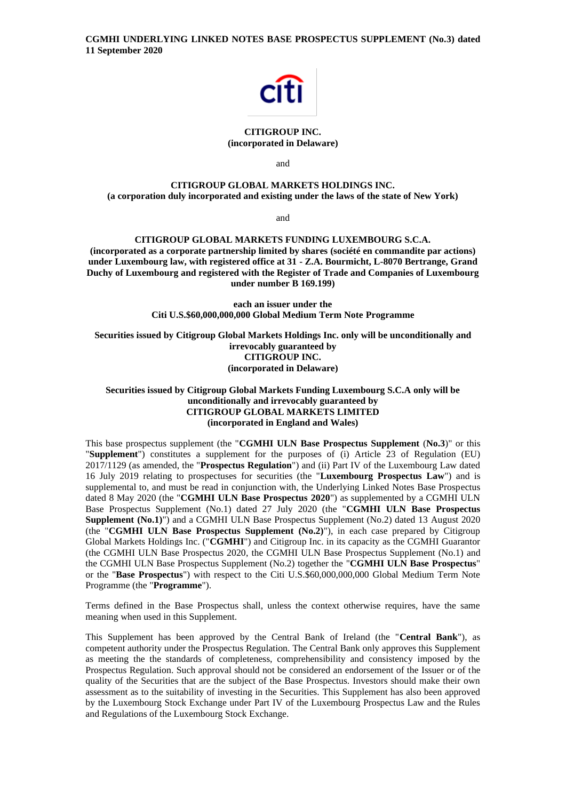

# **CITIGROUP INC. (incorporated in Delaware)**

and

# **CITIGROUP GLOBAL MARKETS HOLDINGS INC. (a corporation duly incorporated and existing under the laws of the state of New York)**

and

## **CITIGROUP GLOBAL MARKETS FUNDING LUXEMBOURG S.C.A.**

**(incorporated as a corporate partnership limited by shares (société en commandite par actions) under Luxembourg law, with registered office at 31 - Z.A. Bourmicht, L-8070 Bertrange, Grand Duchy of Luxembourg and registered with the Register of Trade and Companies of Luxembourg under number B 169.199)**

> **each an issuer under the Citi U.S.\$60,000,000,000 Global Medium Term Note Programme**

**Securities issued by Citigroup Global Markets Holdings Inc. only will be unconditionally and irrevocably guaranteed by CITIGROUP INC. (incorporated in Delaware)**

# **Securities issued by Citigroup Global Markets Funding Luxembourg S.C.A only will be unconditionally and irrevocably guaranteed by CITIGROUP GLOBAL MARKETS LIMITED (incorporated in England and Wales)**

This base prospectus supplement (the "**CGMHI ULN Base Prospectus Supplement** (**No.3**)" or this "**Supplement**") constitutes a supplement for the purposes of (i) Article 23 of Regulation (EU) 2017/1129 (as amended, the "**Prospectus Regulation**") and (ii) Part IV of the Luxembourg Law dated 16 July 2019 relating to prospectuses for securities (the "**Luxembourg Prospectus Law**") and is supplemental to, and must be read in conjunction with, the Underlying Linked Notes Base Prospectus dated 8 May 2020 (the "**CGMHI ULN Base Prospectus 2020**") as supplemented by a CGMHI ULN Base Prospectus Supplement (No.1) dated 27 July 2020 (the "**CGMHI ULN Base Prospectus Supplement (No.1)**") and a CGMHI ULN Base Prospectus Supplement (No.2) dated 13 August 2020 (the "**CGMHI ULN Base Prospectus Supplement (No.2)**"), in each case prepared by Citigroup Global Markets Holdings Inc. ("**CGMHI**") and Citigroup Inc. in its capacity as the CGMHI Guarantor (the CGMHI ULN Base Prospectus 2020, the CGMHI ULN Base Prospectus Supplement (No.1) and the CGMHI ULN Base Prospectus Supplement (No.2) together the "**CGMHI ULN Base Prospectus**" or the "**Base Prospectus**") with respect to the Citi U.S.\$60,000,000,000 Global Medium Term Note Programme (the "**Programme**").

Terms defined in the Base Prospectus shall, unless the context otherwise requires, have the same meaning when used in this Supplement.

This Supplement has been approved by the Central Bank of Ireland (the "**Central Bank**"), as competent authority under the Prospectus Regulation. The Central Bank only approves this Supplement as meeting the the standards of completeness, comprehensibility and consistency imposed by the Prospectus Regulation. Such approval should not be considered an endorsement of the Issuer or of the quality of the Securities that are the subject of the Base Prospectus. Investors should make their own assessment as to the suitability of investing in the Securities. This Supplement has also been approved by the Luxembourg Stock Exchange under Part IV of the Luxembourg Prospectus Law and the Rules and Regulations of the Luxembourg Stock Exchange.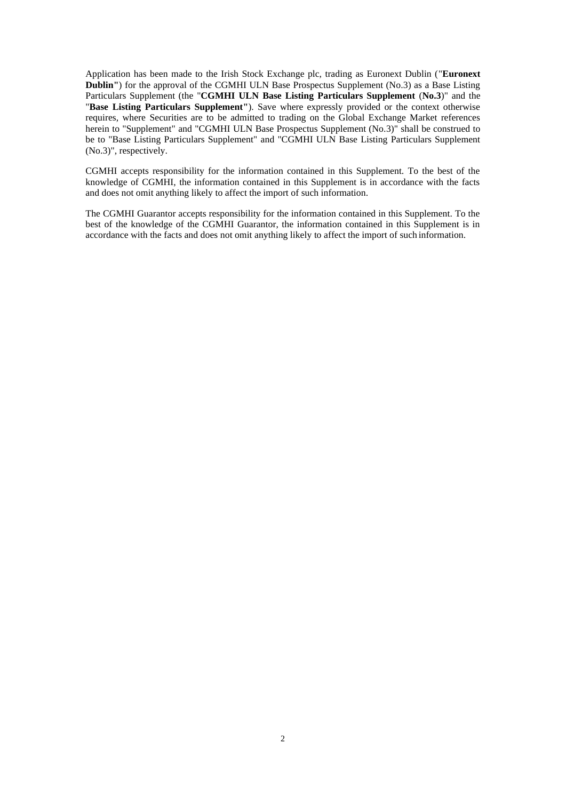Application has been made to the Irish Stock Exchange plc, trading as Euronext Dublin ("**Euronext Dublin''**) for the approval of the CGMHI ULN Base Prospectus Supplement (No.3) as a Base Listing Particulars Supplement (the "**CGMHI ULN Base Listing Particulars Supplement** (**No.3**)" and the "**Base Listing Particulars Supplement"**). Save where expressly provided or the context otherwise requires, where Securities are to be admitted to trading on the Global Exchange Market references herein to "Supplement" and "CGMHI ULN Base Prospectus Supplement (No.3)" shall be construed to be to "Base Listing Particulars Supplement" and "CGMHI ULN Base Listing Particulars Supplement (No.3)", respectively.

CGMHI accepts responsibility for the information contained in this Supplement. To the best of the knowledge of CGMHI, the information contained in this Supplement is in accordance with the facts and does not omit anything likely to affect the import of such information.

The CGMHI Guarantor accepts responsibility for the information contained in this Supplement. To the best of the knowledge of the CGMHI Guarantor, the information contained in this Supplement is in accordance with the facts and does not omit anything likely to affect the import of such information.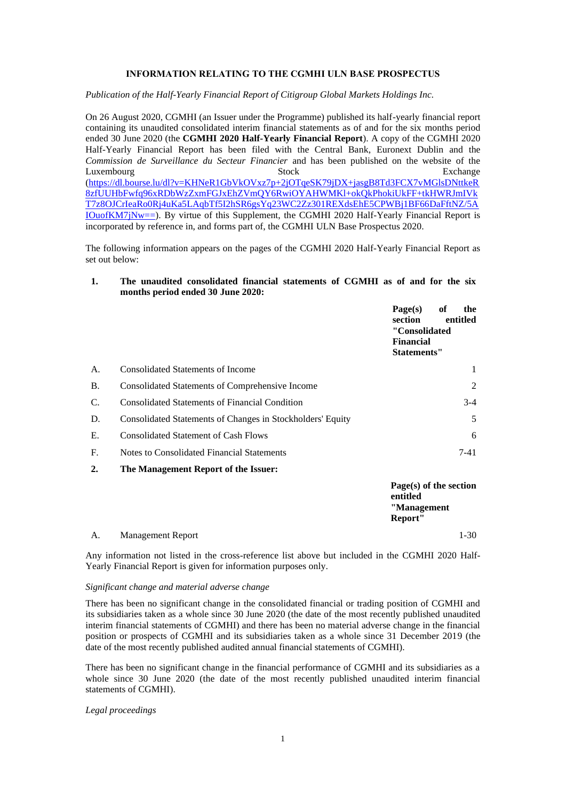## **INFORMATION RELATING TO THE CGMHI ULN BASE PROSPECTUS**

*Publication of the Half-Yearly Financial Report of Citigroup Global Markets Holdings Inc.*

On 26 August 2020, CGMHI (an Issuer under the Programme) published its half-yearly financial report containing its unaudited consolidated interim financial statements as of and for the six months period ended 30 June 2020 (the **CGMHI 2020 Half-Yearly Financial Report**). A copy of the CGMHI 2020 Half-Yearly Financial Report has been filed with the Central Bank, Euronext Dublin and the *Commission de Surveillance du Secteur Financier* and has been published on the website of the Luxembourg Stock Exchange Exchange [\(https://dl.bourse.lu/dl?v=KHNeR1GbVkOVxz7p+2jOTqeSK79jDX+jasgB8Td3FCX7vMGlsDNttkeR](https://dl.bourse.lu/dl?v=KHNeR1GbVkOVxz7p+2jOTqeSK79jDX+jasgB8Td3FCX7vMGlsDNttkeR8zfUUHbFwfq96xRDbWzZxmFGJxEhZVmQY6RwiOYAHWMKl+okQkPhokiUkFF+tkHWRJmIVkT7z8OJCrIeaRo0Rj4uKa5LAqbTf5I2hSR6gsYq23WC2Zz301REXdsEhE5CPWBj1BF66DaFftNZ/5AIOuofKM7jNw==) [8zfUUHbFwfq96xRDbWzZxmFGJxEhZVmQY6RwiOYAHWMKl+okQkPhokiUkFF+tkHWRJmIVk](https://dl.bourse.lu/dl?v=KHNeR1GbVkOVxz7p+2jOTqeSK79jDX+jasgB8Td3FCX7vMGlsDNttkeR8zfUUHbFwfq96xRDbWzZxmFGJxEhZVmQY6RwiOYAHWMKl+okQkPhokiUkFF+tkHWRJmIVkT7z8OJCrIeaRo0Rj4uKa5LAqbTf5I2hSR6gsYq23WC2Zz301REXdsEhE5CPWBj1BF66DaFftNZ/5AIOuofKM7jNw==) [T7z8OJCrIeaRo0Rj4uKa5LAqbTf5I2hSR6gsYq23WC2Zz301REXdsEhE5CPWBj1BF66DaFftNZ/5A](https://dl.bourse.lu/dl?v=KHNeR1GbVkOVxz7p+2jOTqeSK79jDX+jasgB8Td3FCX7vMGlsDNttkeR8zfUUHbFwfq96xRDbWzZxmFGJxEhZVmQY6RwiOYAHWMKl+okQkPhokiUkFF+tkHWRJmIVkT7z8OJCrIeaRo0Rj4uKa5LAqbTf5I2hSR6gsYq23WC2Zz301REXdsEhE5CPWBj1BF66DaFftNZ/5AIOuofKM7jNw==) [IOuofKM7jNw==\)](https://dl.bourse.lu/dl?v=KHNeR1GbVkOVxz7p+2jOTqeSK79jDX+jasgB8Td3FCX7vMGlsDNttkeR8zfUUHbFwfq96xRDbWzZxmFGJxEhZVmQY6RwiOYAHWMKl+okQkPhokiUkFF+tkHWRJmIVkT7z8OJCrIeaRo0Rj4uKa5LAqbTf5I2hSR6gsYq23WC2Zz301REXdsEhE5CPWBj1BF66DaFftNZ/5AIOuofKM7jNw==). By virtue of this Supplement, the CGMHI 2020 Half-Yearly Financial Report is incorporated by reference in, and forms part of, the CGMHI ULN Base Prospectus 2020.

The following information appears on the pages of the CGMHI 2020 Half-Yearly Financial Report as set out below:

## **1. The unaudited consolidated financial statements of CGMHI as of and for the six months period ended 30 June 2020:**

|           |                                                                    | Page(s)<br>of<br>the<br>section<br>entitled<br>"Consolidated |
|-----------|--------------------------------------------------------------------|--------------------------------------------------------------|
|           |                                                                    | <b>Financial</b><br>Statements"                              |
| A.        | <b>Consolidated Statements of Income</b>                           | 1                                                            |
| <b>B.</b> | Consolidated Statements of Comprehensive Income                    | 2                                                            |
| C.        | <b>Consolidated Statements of Financial Condition</b>              | $3-4$                                                        |
| D.        | Consolidated Statements of Changes in Stockholders' Equity         | 5                                                            |
| E.        | <b>Consolidated Statement of Cash Flows</b>                        | 6                                                            |
| F.        | Notes to Consolidated Financial Statements                         | $7-41$                                                       |
| $\sim$    | $\mathbf{m}$ is the set of $\mathbf{m}$ is the set of $\mathbf{m}$ |                                                              |

**2. The Management Report of the Issuer:**

|    |                          | Page(s) of the section |
|----|--------------------------|------------------------|
|    |                          | entitled               |
|    |                          | "Management            |
|    |                          | Report"                |
| А. | <b>Management Report</b> | 1-30                   |

Any information not listed in the cross-reference list above but included in the CGMHI 2020 Half-Yearly Financial Report is given for information purposes only.

## *Significant change and material adverse change*

There has been no significant change in the consolidated financial or trading position of CGMHI and its subsidiaries taken as a whole since 30 June 2020 (the date of the most recently published unaudited interim financial statements of CGMHI) and there has been no material adverse change in the financial position or prospects of CGMHI and its subsidiaries taken as a whole since 31 December 2019 (the date of the most recently published audited annual financial statements of CGMHI).

There has been no significant change in the financial performance of CGMHI and its subsidiaries as a whole since 30 June 2020 (the date of the most recently published unaudited interim financial statements of CGMHI).

*Legal proceedings*